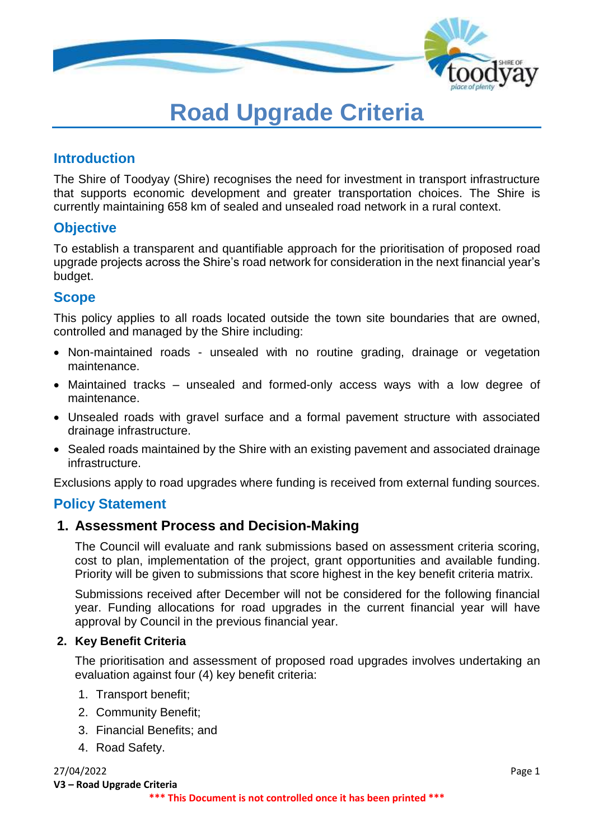

# **Road Upgrade Criteria**

## **Introduction**

The Shire of Toodyay (Shire) recognises the need for investment in transport infrastructure that supports economic development and greater transportation choices. The Shire is currently maintaining 658 km of sealed and unsealed road network in a rural context.

## **Objective**

To establish a transparent and quantifiable approach for the prioritisation of proposed road upgrade projects across the Shire's road network for consideration in the next financial year's budget.

## **Scope**

This policy applies to all roads located outside the town site boundaries that are owned, controlled and managed by the Shire including:

- Non-maintained roads unsealed with no routine grading, drainage or vegetation maintenance.
- Maintained tracks unsealed and formed-only access ways with a low degree of maintenance.
- Unsealed roads with gravel surface and a formal pavement structure with associated drainage infrastructure.
- Sealed roads maintained by the Shire with an existing pavement and associated drainage infrastructure.

Exclusions apply to road upgrades where funding is received from external funding sources.

## **Policy Statement**

## **1. Assessment Process and Decision-Making**

The Council will evaluate and rank submissions based on assessment criteria scoring, cost to plan, implementation of the project, grant opportunities and available funding. Priority will be given to submissions that score highest in the key benefit criteria matrix.

Submissions received after December will not be considered for the following financial year. Funding allocations for road upgrades in the current financial year will have approval by Council in the previous financial year.

#### **2. Key Benefit Criteria**

The prioritisation and assessment of proposed road upgrades involves undertaking an evaluation against four (4) key benefit criteria:

- 1. Transport benefit;
- 2. Community Benefit;
- 3. Financial Benefits; and
- 4. Road Safety.

#### 27/04/2022 Page 1

**V3 – Road Upgrade Criteria**

#### **\*\*\* This Document is not controlled once it has been printed \*\*\***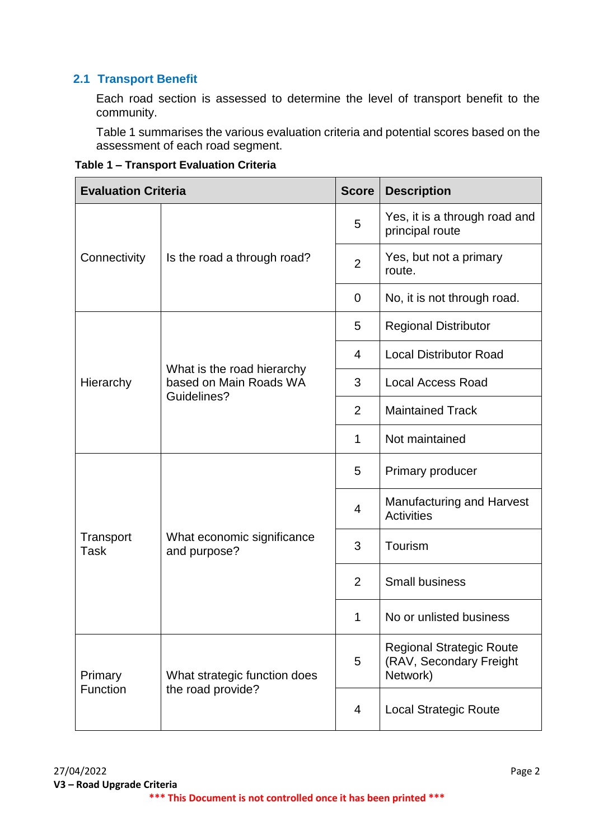## **2.1 Transport Benefit**

Each road section is assessed to determine the level of transport benefit to the community.

Table 1 summarises the various evaluation criteria and potential scores based on the assessment of each road segment.

| Table 1 - Transport Evaluation Criteria |  |
|-----------------------------------------|--|
|                                         |  |

| <b>Evaluation Criteria</b> |                                                      | <b>Score</b>   | <b>Description</b>                                                     |
|----------------------------|------------------------------------------------------|----------------|------------------------------------------------------------------------|
|                            |                                                      | 5              | Yes, it is a through road and<br>principal route                       |
| Connectivity               | Is the road a through road?                          | $\overline{2}$ | Yes, but not a primary<br>route.                                       |
|                            |                                                      | $\mathbf 0$    | No, it is not through road.                                            |
|                            |                                                      | 5              | <b>Regional Distributor</b>                                            |
|                            |                                                      | 4              | <b>Local Distributor Road</b>                                          |
| Hierarchy                  | What is the road hierarchy<br>based on Main Roads WA | 3              | <b>Local Access Road</b>                                               |
|                            | <b>Guidelines?</b>                                   | 2              | <b>Maintained Track</b>                                                |
|                            |                                                      | $\mathbf 1$    | Not maintained                                                         |
|                            | What economic significance<br>and purpose?           | 5              | Primary producer                                                       |
|                            |                                                      | $\overline{4}$ | <b>Manufacturing and Harvest</b><br><b>Activities</b>                  |
| Transport<br><b>Task</b>   |                                                      | 3              | Tourism                                                                |
|                            |                                                      | $\overline{2}$ | <b>Small business</b>                                                  |
|                            |                                                      | 1              | No or unlisted business                                                |
| Primary<br>Function        | What strategic function does<br>the road provide?    | 5              | <b>Regional Strategic Route</b><br>(RAV, Secondary Freight<br>Network) |
|                            |                                                      | $\overline{4}$ | <b>Local Strategic Route</b>                                           |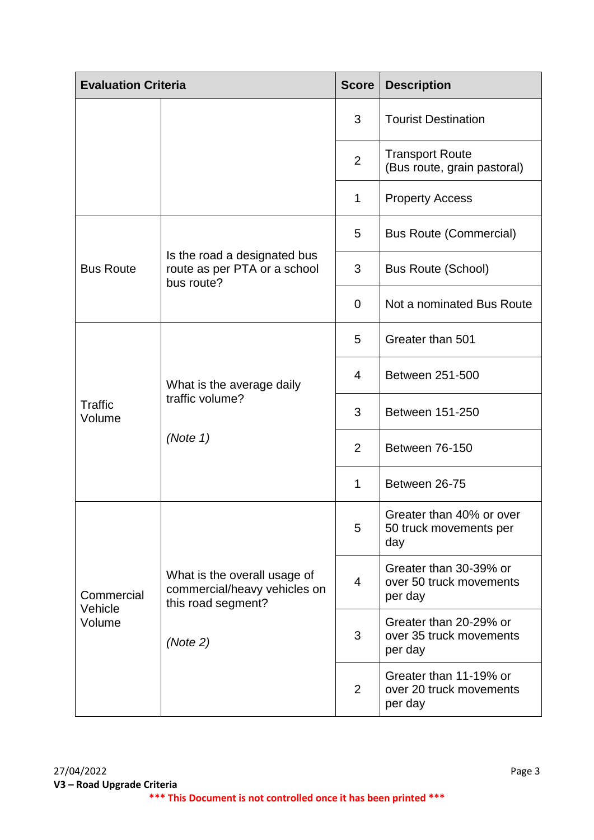| <b>Evaluation Criteria</b>      |                                                                                                | <b>Score</b>   | <b>Description</b>                                           |
|---------------------------------|------------------------------------------------------------------------------------------------|----------------|--------------------------------------------------------------|
|                                 |                                                                                                | 3              | <b>Tourist Destination</b>                                   |
|                                 |                                                                                                | $\overline{2}$ | <b>Transport Route</b><br>(Bus route, grain pastoral)        |
|                                 |                                                                                                | 1              | <b>Property Access</b>                                       |
|                                 |                                                                                                | 5              | <b>Bus Route (Commercial)</b>                                |
| <b>Bus Route</b>                | Is the road a designated bus<br>route as per PTA or a school<br>bus route?                     | 3              | <b>Bus Route (School)</b>                                    |
|                                 |                                                                                                | $\overline{0}$ | Not a nominated Bus Route                                    |
|                                 | What is the average daily<br>traffic volume?<br>(Note 1)                                       | 5              | Greater than 501                                             |
|                                 |                                                                                                | $\overline{4}$ | Between 251-500                                              |
| <b>Traffic</b><br>Volume        |                                                                                                | 3              | Between 151-250                                              |
|                                 |                                                                                                | 2              | Between 76-150                                               |
|                                 |                                                                                                | 1              | Between 26-75                                                |
|                                 | What is the overall usage of<br>commercial/heavy vehicles on<br>this road segment?<br>(Note 2) | 5              | Greater than 40% or over<br>50 truck movements per<br>day    |
| Commercial<br>Vehicle<br>Volume |                                                                                                | $\overline{4}$ | Greater than 30-39% or<br>over 50 truck movements<br>per day |
|                                 |                                                                                                | 3              | Greater than 20-29% or<br>over 35 truck movements<br>per day |
|                                 |                                                                                                | 2              | Greater than 11-19% or<br>over 20 truck movements<br>per day |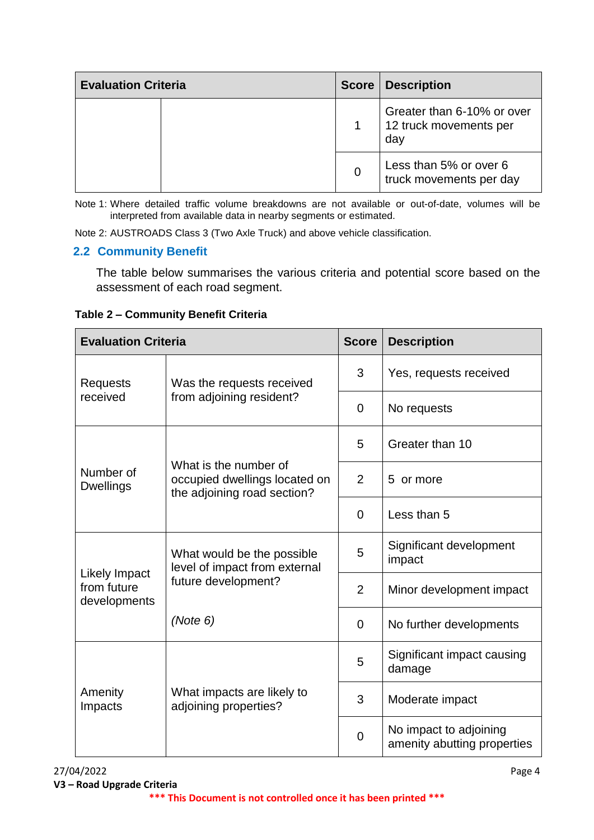| <b>Evaluation Criteria</b> |  | <b>Score   Description</b>                                  |
|----------------------------|--|-------------------------------------------------------------|
|                            |  | Greater than 6-10% or over<br>12 truck movements per<br>day |
|                            |  | Less than 5% or over 6<br>truck movements per day           |

Note 1: Where detailed traffic volume breakdowns are not available or out-of-date, volumes will be interpreted from available data in nearby segments or estimated.

Note 2: AUSTROADS Class 3 (Two Axle Truck) and above vehicle classification.

#### **2.2 Community Benefit**

The table below summarises the various criteria and potential score based on the assessment of each road segment.

**Table 2 – Community Benefit Criteria**

| <b>Evaluation Criteria</b>                          |                                                                                       | <b>Score</b>   | <b>Description</b>                                    |
|-----------------------------------------------------|---------------------------------------------------------------------------------------|----------------|-------------------------------------------------------|
| <b>Requests</b>                                     | Was the requests received                                                             | 3              | Yes, requests received                                |
| received                                            | from adjoining resident?                                                              | $\Omega$       | No requests                                           |
|                                                     |                                                                                       | 5              | Greater than 10                                       |
| Number of<br><b>Dwellings</b>                       | What is the number of<br>occupied dwellings located on<br>the adjoining road section? | 2              | or more<br>5                                          |
|                                                     |                                                                                       | $\Omega$       | Less than 5                                           |
| <b>Likely Impact</b><br>from future<br>developments | What would be the possible<br>level of impact from external<br>future development?    | 5              | Significant development<br>impact                     |
|                                                     |                                                                                       | $\overline{2}$ | Minor development impact                              |
|                                                     | (Note 6)                                                                              | 0              | No further developments                               |
| Amenity<br>Impacts                                  | What impacts are likely to<br>adjoining properties?                                   | 5              | Significant impact causing<br>damage                  |
|                                                     |                                                                                       | 3              | Moderate impact                                       |
|                                                     |                                                                                       | $\Omega$       | No impact to adjoining<br>amenity abutting properties |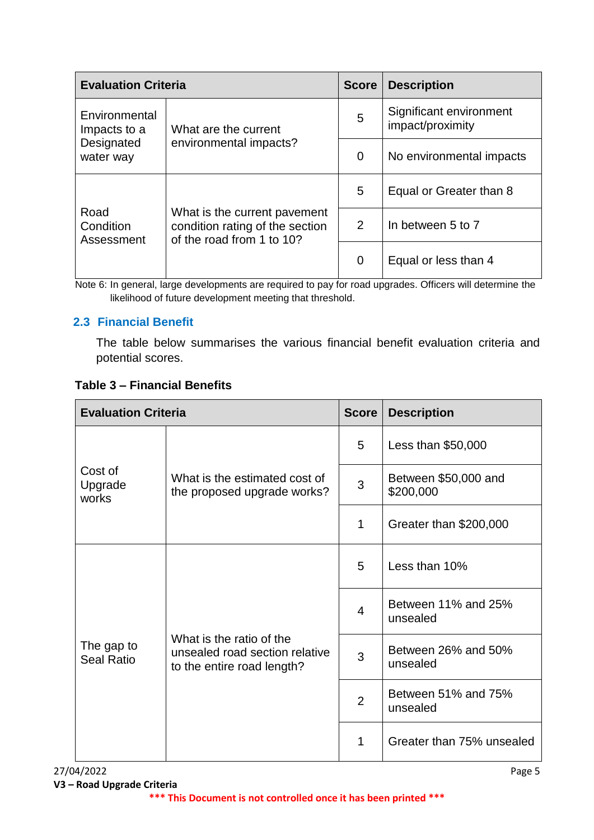| <b>Evaluation Criteria</b>      |                                                                                              | <b>Score</b>   | <b>Description</b>                          |
|---------------------------------|----------------------------------------------------------------------------------------------|----------------|---------------------------------------------|
| Environmental<br>Impacts to a   | What are the current<br>environmental impacts?                                               | 5              | Significant environment<br>impact/proximity |
| Designated<br>water way         |                                                                                              | $\overline{0}$ | No environmental impacts                    |
|                                 | What is the current pavement<br>condition rating of the section<br>of the road from 1 to 10? | 5              | Equal or Greater than 8                     |
| Road<br>Condition<br>Assessment |                                                                                              | 2              | In between 5 to 7                           |
|                                 |                                                                                              | $\overline{0}$ | Equal or less than 4                        |

Note 6: In general, large developments are required to pay for road upgrades. Officers will determine the likelihood of future development meeting that threshold.

## **2.3 Financial Benefit**

The table below summarises the various financial benefit evaluation criteria and potential scores.

|  | <b>Table 3 – Financial Benefits</b> |  |
|--|-------------------------------------|--|
|  |                                     |  |

| <b>Evaluation Criteria</b>      |                                                                                          | <b>Score</b>   | <b>Description</b>                |
|---------------------------------|------------------------------------------------------------------------------------------|----------------|-----------------------------------|
| Cost of<br>Upgrade<br>works     | What is the estimated cost of<br>the proposed upgrade works?                             | 5              | Less than $$50,000$               |
|                                 |                                                                                          | 3              | Between \$50,000 and<br>\$200,000 |
|                                 |                                                                                          | $\mathbf 1$    | Greater than \$200,000            |
| The gap to<br><b>Seal Ratio</b> | What is the ratio of the<br>unsealed road section relative<br>to the entire road length? | 5              | Less than 10%                     |
|                                 |                                                                                          | 4              | Between 11% and 25%<br>unsealed   |
|                                 |                                                                                          | 3              | Between 26% and 50%<br>unsealed   |
|                                 |                                                                                          | $\overline{2}$ | Between 51% and 75%<br>unsealed   |
|                                 |                                                                                          | 1              | Greater than 75% unsealed         |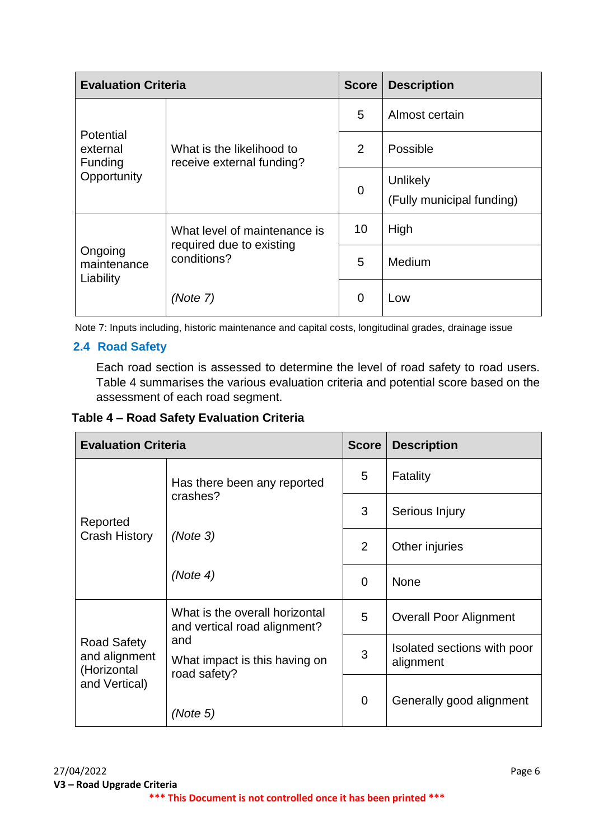| <b>Evaluation Criteria</b>                             |                                                                         | <b>Score</b>   | <b>Description</b>                    |
|--------------------------------------------------------|-------------------------------------------------------------------------|----------------|---------------------------------------|
| <b>Potential</b><br>external<br>Funding<br>Opportunity | What is the likelihood to<br>receive external funding?                  | 5              | Almost certain                        |
|                                                        |                                                                         | 2              | Possible                              |
|                                                        |                                                                         | $\overline{0}$ | Unlikely<br>(Fully municipal funding) |
| Ongoing<br>maintenance<br>Liability                    | What level of maintenance is<br>required due to existing<br>conditions? | 10             | High                                  |
|                                                        |                                                                         | 5              | Medium                                |
|                                                        | (Note 7)                                                                | $\overline{0}$ | Low                                   |

Note 7: Inputs including, historic maintenance and capital costs, longitudinal grades, drainage issue

## **2.4 Road Safety**

Each road section is assessed to determine the level of road safety to road users. Table 4 summarises the various evaluation criteria and potential score based on the assessment of each road segment.

## **Table 4 – Road Safety Evaluation Criteria**

| <b>Evaluation Criteria</b>                                          |                                                                                                                        | <b>Score</b> | <b>Description</b>                       |
|---------------------------------------------------------------------|------------------------------------------------------------------------------------------------------------------------|--------------|------------------------------------------|
|                                                                     | Has there been any reported                                                                                            | 5            | Fatality                                 |
| Reported                                                            | crashes?                                                                                                               | 3            | Serious Injury                           |
| <b>Crash History</b>                                                | (Note 3)                                                                                                               | 2            | Other injuries                           |
|                                                                     | (Note 4)                                                                                                               | $\mathbf 0$  | <b>None</b>                              |
| <b>Road Safety</b><br>and alignment<br>(Horizontal<br>and Vertical) | What is the overall horizontal<br>and vertical road alignment?<br>and<br>What impact is this having on<br>road safety? | 5            | <b>Overall Poor Alignment</b>            |
|                                                                     |                                                                                                                        | 3            | Isolated sections with poor<br>alignment |
|                                                                     | (Note 5)                                                                                                               | $\mathbf 0$  | Generally good alignment                 |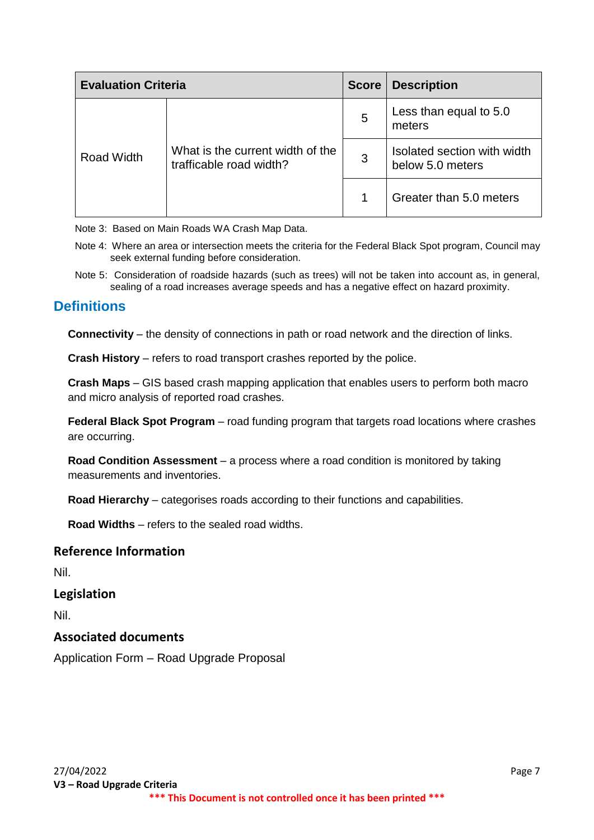| <b>Evaluation Criteria</b> |                                                             | <b>Score</b> | <b>Description</b>                              |
|----------------------------|-------------------------------------------------------------|--------------|-------------------------------------------------|
| Road Width                 | What is the current width of the<br>trafficable road width? | 5            | Less than equal to 5.0<br>meters                |
|                            |                                                             | 3            | Isolated section with width<br>below 5.0 meters |
|                            |                                                             |              | Greater than 5.0 meters                         |

Note 3: Based on Main Roads WA Crash Map Data.

- Note 4: Where an area or intersection meets the criteria for the Federal Black Spot program, Council may seek external funding before consideration.
- Note 5: Consideration of roadside hazards (such as trees) will not be taken into account as, in general, sealing of a road increases average speeds and has a negative effect on hazard proximity.

## **Definitions**

**Connectivity** – the density of connections in path or road network and the direction of links.

**Crash History** – refers to road transport crashes reported by the police.

**Crash Maps** – GIS based crash mapping application that enables users to perform both macro and micro analysis of reported road crashes.

**Federal Black Spot Program** – road funding program that targets road locations where crashes are occurring.

**Road Condition Assessment** – a process where a road condition is monitored by taking measurements and inventories.

**Road Hierarchy** – categorises roads according to their functions and capabilities.

**Road Widths** – refers to the sealed road widths.

#### **Reference Information**

Nil.

#### **Legislation**

Nil.

#### **Associated documents**

Application Form – Road Upgrade Proposal